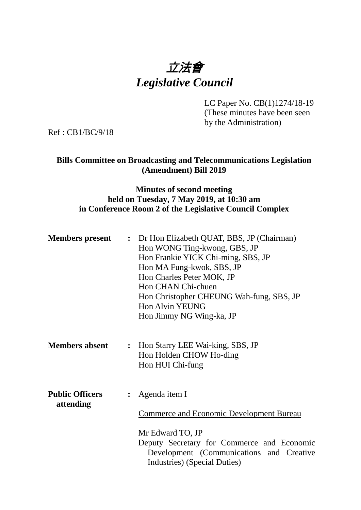

LC Paper No. CB(1)1274/18-19 (These minutes have been seen by the Administration)

Ref : CB1/BC/9/18

## **Bills Committee on Broadcasting and Telecommunications Legislation (Amendment) Bill 2019**

### **Minutes of second meeting held on Tuesday, 7 May 2019, at 10:30 am in Conference Room 2 of the Legislative Council Complex**

| <b>Members</b> present              | : Dr Hon Elizabeth QUAT, BBS, JP (Chairman)<br>Hon WONG Ting-kwong, GBS, JP<br>Hon Frankie YICK Chi-ming, SBS, JP<br>Hon MA Fung-kwok, SBS, JP<br>Hon Charles Peter MOK, JP<br>Hon CHAN Chi-chuen<br>Hon Christopher CHEUNG Wah-fung, SBS, JP<br><b>Hon Alvin YEUNG</b><br>Hon Jimmy NG Wing-ka, JP |
|-------------------------------------|-----------------------------------------------------------------------------------------------------------------------------------------------------------------------------------------------------------------------------------------------------------------------------------------------------|
| <b>Members absent</b>               | : Hon Starry LEE Wai-king, SBS, JP<br>Hon Holden CHOW Ho-ding<br>Hon HUI Chi-fung                                                                                                                                                                                                                   |
| <b>Public Officers</b><br>attending | Agenda item I<br><b>Commerce and Economic Development Bureau</b><br>Mr Edward TO, JP<br>Deputy Secretary for Commerce and Economic<br>Development (Communications and Creative<br>Industries) (Special Duties)                                                                                      |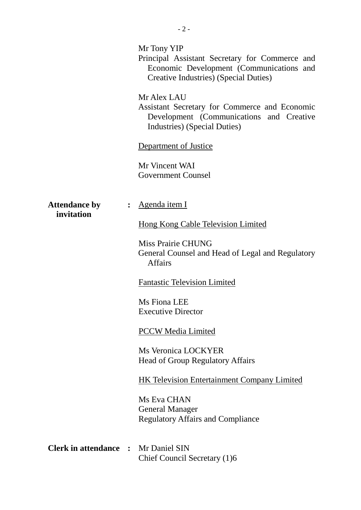|                                    | Mr Tony YIP<br>Principal Assistant Secretary for Commerce and<br>Economic Development (Communications and<br>Creative Industries) (Special Duties)<br>Mr Alex LAU<br>Assistant Secretary for Commerce and Economic<br>Development (Communications and Creative<br>Industries) (Special Duties)<br>Department of Justice<br>Mr Vincent WAI<br><b>Government Counsel</b> |
|------------------------------------|------------------------------------------------------------------------------------------------------------------------------------------------------------------------------------------------------------------------------------------------------------------------------------------------------------------------------------------------------------------------|
| <b>Attendance by</b><br>invitation | <u>Agenda item I</u><br><b>Hong Kong Cable Television Limited</b><br>Miss Prairie CHUNG<br>General Counsel and Head of Legal and Regulatory<br><b>Affairs</b>                                                                                                                                                                                                          |
|                                    | <b>Fantastic Television Limited</b>                                                                                                                                                                                                                                                                                                                                    |
|                                    | Ms Fiona LEE<br><b>Executive Director</b>                                                                                                                                                                                                                                                                                                                              |
|                                    | <b>PCCW Media Limited</b>                                                                                                                                                                                                                                                                                                                                              |
|                                    | <b>Ms Veronica LOCKYER</b><br><b>Head of Group Regulatory Affairs</b>                                                                                                                                                                                                                                                                                                  |
|                                    | <b>HK Television Entertainment Company Limited</b>                                                                                                                                                                                                                                                                                                                     |
|                                    | Ms Eva CHAN<br><b>General Manager</b><br><b>Regulatory Affairs and Compliance</b>                                                                                                                                                                                                                                                                                      |
| <b>Clerk in attendance :</b>       | Mr Daniel SIN<br>Chief Council Secretary (1)6                                                                                                                                                                                                                                                                                                                          |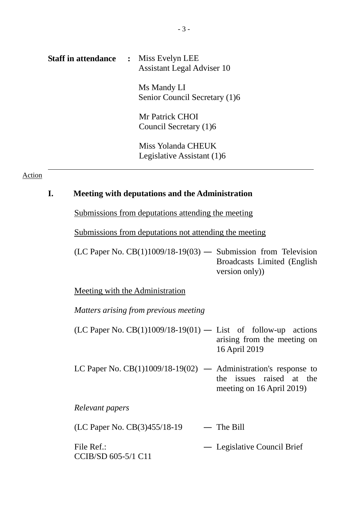| <b>Staff in attendance</b> | : Miss Evelyn LEE<br><b>Assistant Legal Adviser 10</b> |
|----------------------------|--------------------------------------------------------|
|                            | Ms Mandy LI<br>Senior Council Secretary (1)6           |
|                            | Mr Patrick CHOI<br>Council Secretary (1)6              |
|                            | Miss Yolanda CHEUK<br>Legislative Assistant (1)6       |

#### Action

# **I. Meeting with deputations and the Administration**

Submissions from deputations attending the meeting

Submissions from deputations not attending the meeting

 $(LC$  Paper No.  $CB(1)1009/18-19(03)$  — Submission from Television Broadcasts Limited (English version only))

Meeting with the Administration

*Matters arising from previous meeting*

- (LC Paper No. CB(1)1009/18-19(01) List of follow-up actions arising from the meeting on 16 April 2019
- LC Paper No.  $CB(1)1009/18-19(02)$  Administration's response to the issues raised at the meeting on 16 April 2019)

*Relevant papers*

 $(LC$  Paper No.  $CB(3)455/18-19$  — The Bill

File Ref.: CCIB/SD 605-5/1 C11 ― Legislative Council Brief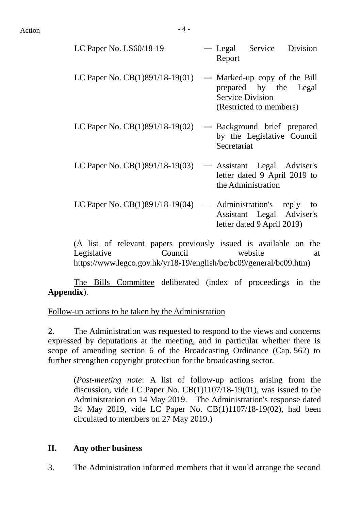| LC Paper No. LS60/18-19           | — Legal Service Division<br>Report                                                                          |
|-----------------------------------|-------------------------------------------------------------------------------------------------------------|
| LC Paper No. $CB(1)891/18-19(01)$ | — Marked-up copy of the Bill<br>prepared by the Legal<br><b>Service Division</b><br>(Restricted to members) |
| LC Paper No. $CB(1)891/18-19(02)$ | Background brief prepared<br>by the Legislative Council<br>Secretariat                                      |
| LC Paper No. $CB(1)891/18-19(03)$ | - Assistant Legal Adviser's<br>letter dated 9 April 2019 to<br>the Administration                           |
| LC Paper No. $CB(1)891/18-19(04)$ | — Administration's reply<br>to<br>Assistant Legal Adviser's<br>letter dated 9 April 2019)                   |

(A list of relevant papers previously issued is available on the Legislative Council website at https://www.legco.gov.hk/yr18-19/english/bc/bc09/general/bc09.htm)

The Bills Committee deliberated (index of proceedings in the **Appendix**).

Follow-up actions to be taken by the Administration

2. The Administration was requested to respond to the views and concerns expressed by deputations at the meeting, and in particular whether there is scope of amending section 6 of the Broadcasting Ordinance (Cap. 562) to further strengthen copyright protection for the broadcasting sector.

(*Post-meeting note*: A list of follow-up actions arising from the discussion, vide LC Paper No. CB(1)1107/18-19(01), was issued to the Administration on 14 May 2019. The Administration's response dated 24 May 2019, vide LC Paper No. CB(1)1107/18-19(02), had been circulated to members on 27 May 2019.)

### **II. Any other business**

3. The Administration informed members that it would arrange the second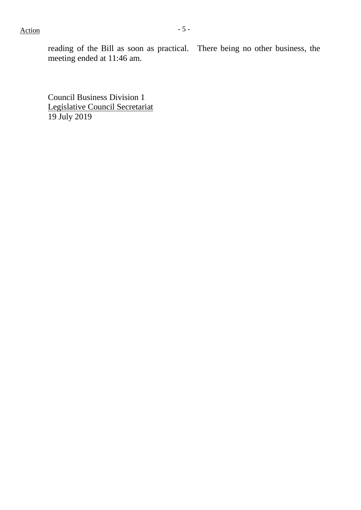$Action$   $-5$  -

reading of the Bill as soon as practical. There being no other business, the meeting ended at 11:46 am.

Council Business Division 1 Legislative Council Secretariat 19 July 2019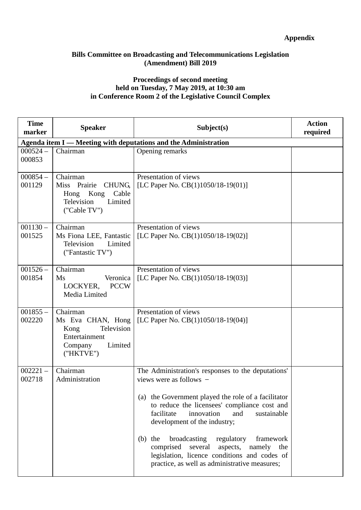### **Appendix**

#### **Bills Committee on Broadcasting and Telecommunications Legislation (Amendment) Bill 2019**

#### **Proceedings of second meeting held on Tuesday, 7 May 2019, at 10:30 am in Conference Room 2 of the Legislative Council Complex**

| <b>Time</b><br>marker | <b>Speaker</b>                                                                                             | Subject(s)                                                                                                                                                                                                                                                                                                                                                                                                                                                                   | <b>Action</b><br>required |
|-----------------------|------------------------------------------------------------------------------------------------------------|------------------------------------------------------------------------------------------------------------------------------------------------------------------------------------------------------------------------------------------------------------------------------------------------------------------------------------------------------------------------------------------------------------------------------------------------------------------------------|---------------------------|
|                       |                                                                                                            | Agenda item I — Meeting with deputations and the Administration                                                                                                                                                                                                                                                                                                                                                                                                              |                           |
| $000524 -$<br>000853  | Chairman                                                                                                   | Opening remarks                                                                                                                                                                                                                                                                                                                                                                                                                                                              |                           |
| $000854-$<br>001129   | Chairman<br>Miss Prairie<br><b>CHUNG</b><br>Kong<br>Cable<br>Hong<br>Television<br>Limited<br>("Cable TV") | Presentation of views<br>[LC Paper No. $CB(1)1050/18-19(01)$ ]                                                                                                                                                                                                                                                                                                                                                                                                               |                           |
| $001130 -$<br>001525  | Chairman<br>Ms Fiona LEE, Fantastic<br>Television<br>Limited<br>("Fantastic TV")                           | Presentation of views<br>[LC Paper No. CB(1)1050/18-19(02)]                                                                                                                                                                                                                                                                                                                                                                                                                  |                           |
| $001526 -$<br>001854  | Chairman<br>Ms<br>Veronica<br>LOCKYER,<br><b>PCCW</b><br>Media Limited                                     | Presentation of views<br>[LC Paper No. CB(1)1050/18-19(03)]                                                                                                                                                                                                                                                                                                                                                                                                                  |                           |
| $001855 -$<br>002220  | Chairman<br>Ms Eva CHAN, Hong<br>Television<br>Kong<br>Entertainment<br>Limited<br>Company<br>("HKTVE")    | Presentation of views<br>[LC Paper No. $CB(1)1050/18-19(04)$ ]                                                                                                                                                                                                                                                                                                                                                                                                               |                           |
| $002221 -$<br>002718  | Chairman<br>Administration                                                                                 | The Administration's responses to the deputations'<br>views were as follows -<br>(a) the Government played the role of a facilitator<br>to reduce the licensees' compliance cost and<br>facilitate<br>innovation<br>and<br>sustainable<br>development of the industry;<br>the<br>broadcasting<br>regulatory<br>framework<br>(b)<br>comprised several<br>aspects, namely the<br>legislation, licence conditions and codes of<br>practice, as well as administrative measures; |                           |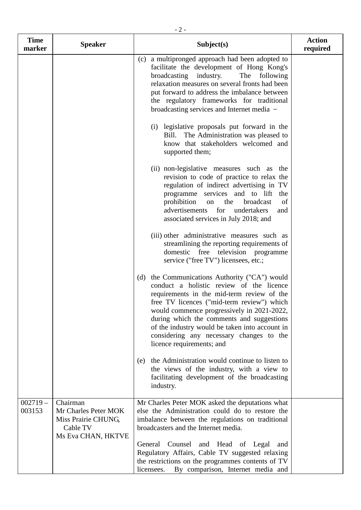| <b>Time</b><br>marker | <b>Speaker</b>                                                                            | Subject(s)                                                                                                                                                                                                                                                                                                                                                                                                     | <b>Action</b><br>required |
|-----------------------|-------------------------------------------------------------------------------------------|----------------------------------------------------------------------------------------------------------------------------------------------------------------------------------------------------------------------------------------------------------------------------------------------------------------------------------------------------------------------------------------------------------------|---------------------------|
|                       |                                                                                           | (c) a multipronged approach had been adopted to<br>facilitate the development of Hong Kong's<br>broadcasting industry.<br>The<br>following<br>relaxation measures on several fronts had been<br>put forward to address the imbalance between<br>the regulatory frameworks for traditional<br>broadcasting services and Internet media -                                                                        |                           |
|                       |                                                                                           | (i) legislative proposals put forward in the<br>The Administration was pleased to<br>Bill.<br>know that stakeholders welcomed and<br>supported them;                                                                                                                                                                                                                                                           |                           |
|                       |                                                                                           | (ii) non-legislative measures such as the<br>revision to code of practice to relax the<br>regulation of indirect advertising in TV<br>programme services and to lift<br>the<br>prohibition<br>the<br>of<br>broadcast<br>on<br>advertisements<br>for<br>undertakers<br>and<br>associated services in July 2018; and                                                                                             |                           |
|                       |                                                                                           | (iii) other administrative measures such as<br>streamlining the reporting requirements of<br>domestic free television programme<br>service ("free TV") licensees, etc.;                                                                                                                                                                                                                                        |                           |
|                       |                                                                                           | the Communications Authority ("CA") would<br>(d)<br>conduct a holistic review of the licence<br>requirements in the mid-term review of the<br>free TV licences ("mid-term review") which<br>would commence progressively in 2021-2022,<br>during which the comments and suggestions<br>of the industry would be taken into account in<br>considering any necessary changes to the<br>licence requirements; and |                           |
|                       |                                                                                           | the Administration would continue to listen to<br>(e)<br>the views of the industry, with a view to<br>facilitating development of the broadcasting<br>industry.                                                                                                                                                                                                                                                |                           |
| $002719-$<br>003153   | Chairman<br>Mr Charles Peter MOK<br>Miss Prairie CHUNG,<br>Cable TV<br>Ms Eva CHAN, HKTVE | Mr Charles Peter MOK asked the deputations what<br>else the Administration could do to restore the<br>imbalance between the regulations on traditional<br>broadcasters and the Internet media.                                                                                                                                                                                                                 |                           |
|                       |                                                                                           | General Counsel and Head of Legal<br>and<br>Regulatory Affairs, Cable TV suggested relaxing<br>the restrictions on the programmes contents of TV<br>By comparison, Internet media and<br>licensees.                                                                                                                                                                                                            |                           |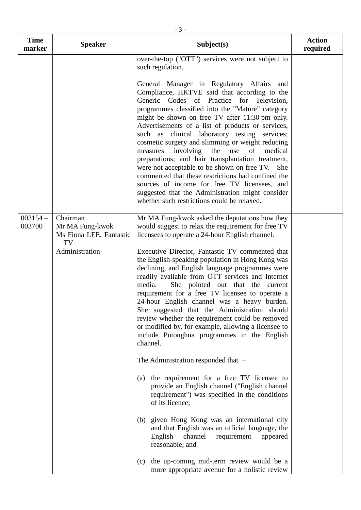| <b>Time</b><br>marker | <b>Speaker</b>                                         | Subject(s)                                                                                                                                                                                                                                                                                                                                                                                                                                                                                                                                                                                                                                                                                                                                                                      | <b>Action</b><br>required |
|-----------------------|--------------------------------------------------------|---------------------------------------------------------------------------------------------------------------------------------------------------------------------------------------------------------------------------------------------------------------------------------------------------------------------------------------------------------------------------------------------------------------------------------------------------------------------------------------------------------------------------------------------------------------------------------------------------------------------------------------------------------------------------------------------------------------------------------------------------------------------------------|---------------------------|
|                       |                                                        | over-the-top ("OTT") services were not subject to<br>such regulation.                                                                                                                                                                                                                                                                                                                                                                                                                                                                                                                                                                                                                                                                                                           |                           |
|                       |                                                        | General Manager in Regulatory Affairs and<br>Compliance, HKTVE said that according to the<br>Generic Codes of Practice for Television,<br>programmes classified into the "Mature" category<br>might be shown on free TV after 11:30 pm only.<br>Advertisements of a list of products or services,<br>such as clinical laboratory testing services;<br>cosmetic surgery and slimming or weight reducing<br>involving<br>of<br>medical<br>the<br>use<br>measures<br>preparations; and hair transplantation treatment,<br>were not acceptable to be shown on free TV. She<br>commented that these restrictions had confined the<br>sources of income for free TV licensees, and<br>suggested that the Administration might consider<br>whether such restrictions could be relaxed. |                           |
| $003154-$<br>003700   | Chairman<br>Mr MA Fung-kwok<br>Ms Fiona LEE, Fantastic | Mr MA Fung-kwok asked the deputations how they<br>would suggest to relax the requirement for free TV<br>licensees to operate a 24-hour English channel.                                                                                                                                                                                                                                                                                                                                                                                                                                                                                                                                                                                                                         |                           |
|                       | TV<br>Administration                                   | Executive Director, Fantastic TV commented that<br>the English-speaking population in Hong Kong was<br>declining, and English language programmes were<br>readily available from OTT services and Internet<br>media.<br>She pointed out that the current<br>requirement for a free TV licensee to operate a<br>24-hour English channel was a heavy burden.<br>She suggested that the Administration should<br>review whether the requirement could be removed<br>or modified by, for example, allowing a licensee to<br>include Putonghua programmes in the English<br>channel.<br>The Administration responded that $-$                                                                                                                                                        |                           |
|                       |                                                        | the requirement for a free TV licensee to<br>(a)<br>provide an English channel ("English channel"<br>requirement") was specified in the conditions<br>of its licence;                                                                                                                                                                                                                                                                                                                                                                                                                                                                                                                                                                                                           |                           |
|                       |                                                        | given Hong Kong was an international city<br>(b)<br>and that English was an official language, the<br>English<br>channel<br>requirement<br>appeared<br>reasonable; and                                                                                                                                                                                                                                                                                                                                                                                                                                                                                                                                                                                                          |                           |
|                       |                                                        | the up-coming mid-term review would be a<br>(c)<br>more appropriate avenue for a holistic review                                                                                                                                                                                                                                                                                                                                                                                                                                                                                                                                                                                                                                                                                |                           |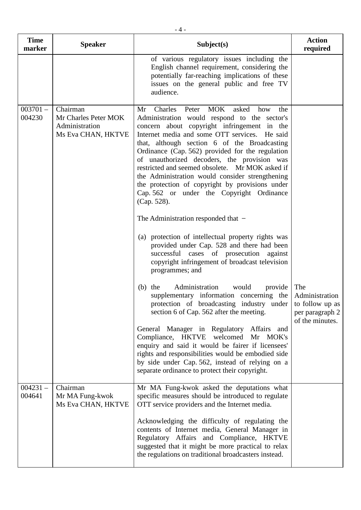| <b>Time</b><br>marker | <b>Speaker</b>                                                           | Subject(s)                                                                                                                                                                                                                                                                                                                                                                                                                                                                                                                                                                                                                                                                         | <b>Action</b><br>required                                   |
|-----------------------|--------------------------------------------------------------------------|------------------------------------------------------------------------------------------------------------------------------------------------------------------------------------------------------------------------------------------------------------------------------------------------------------------------------------------------------------------------------------------------------------------------------------------------------------------------------------------------------------------------------------------------------------------------------------------------------------------------------------------------------------------------------------|-------------------------------------------------------------|
|                       |                                                                          | of various regulatory issues including the<br>English channel requirement, considering the<br>potentially far-reaching implications of these<br>issues on the general public and free TV<br>audience.                                                                                                                                                                                                                                                                                                                                                                                                                                                                              |                                                             |
| $003701 -$<br>004230  | Chairman<br>Mr Charles Peter MOK<br>Administration<br>Ms Eva CHAN, HKTVE | <b>MOK</b><br>Charles<br>Peter<br>asked<br>Mr<br>how<br>the<br>Administration would respond to the sector's<br>concern about copyright infringement in the<br>Internet media and some OTT services. He said<br>that, although section 6 of the Broadcasting<br>Ordinance (Cap. 562) provided for the regulation<br>of unauthorized decoders, the provision was<br>restricted and seemed obsolete. Mr MOK asked if<br>the Administration would consider strengthening<br>the protection of copyright by provisions under<br>Cap. 562 or under the Copyright Ordinance<br>(Cap. 528).<br>The Administration responded that $-$<br>(a) protection of intellectual property rights was |                                                             |
|                       |                                                                          | provided under Cap. 528 and there had been<br>successful cases of prosecution against<br>copyright infringement of broadcast television<br>programmes; and                                                                                                                                                                                                                                                                                                                                                                                                                                                                                                                         |                                                             |
|                       |                                                                          | Administration<br>would<br>$(b)$ the<br>provide<br>supplementary information concerning the<br>protection of broadcasting industry under to follow up as<br>section 6 of Cap. 562 after the meeting.                                                                                                                                                                                                                                                                                                                                                                                                                                                                               | The<br>Administration<br>per paragraph 2<br>of the minutes. |
|                       |                                                                          | General Manager in Regulatory Affairs and<br>Compliance, HKTVE welcomed Mr MOK's<br>enquiry and said it would be fairer if licensees'<br>rights and responsibilities would be embodied side                                                                                                                                                                                                                                                                                                                                                                                                                                                                                        |                                                             |

|                      |                                                   | by side under Cap. 562, instead of relying on a<br>separate ordinance to protect their copyright.                                                                                                                                                                                                                                                                                                               |  |
|----------------------|---------------------------------------------------|-----------------------------------------------------------------------------------------------------------------------------------------------------------------------------------------------------------------------------------------------------------------------------------------------------------------------------------------------------------------------------------------------------------------|--|
| $004231 -$<br>004641 | Chairman<br>Mr MA Fung-kwok<br>Ms Eva CHAN, HKTVE | Mr MA Fung-kwok asked the deputations what<br>specific measures should be introduced to regulate<br>OTT service providers and the Internet media.<br>Acknowledging the difficulty of regulating the<br>contents of Internet media, General Manager in<br>Regulatory Affairs and Compliance, HKTVE<br>suggested that it might be more practical to relax<br>the regulations on traditional broadcasters instead. |  |

 $\mathsf{l}$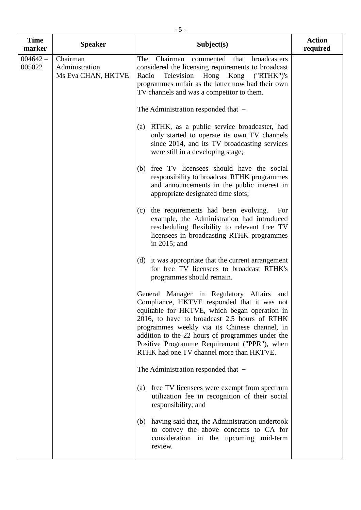| <b>Time</b><br>marker | <b>Speaker</b>                                   | Subject(s)                                                                                                                                                                                                                                                                                                                                                                                 | <b>Action</b><br>required |
|-----------------------|--------------------------------------------------|--------------------------------------------------------------------------------------------------------------------------------------------------------------------------------------------------------------------------------------------------------------------------------------------------------------------------------------------------------------------------------------------|---------------------------|
| $004642 -$<br>005022  | Chairman<br>Administration<br>Ms Eva CHAN, HKTVE | Chairman<br>broadcasters<br>The<br>commented that<br>considered the licensing requirements to broadcast<br>Radio<br>Television Hong Kong ("RTHK")'s<br>programmes unfair as the latter now had their own<br>TV channels and was a competitor to them.                                                                                                                                      |                           |
|                       |                                                  | The Administration responded that $-$                                                                                                                                                                                                                                                                                                                                                      |                           |
|                       |                                                  | RTHK, as a public service broadcaster, had<br>(a)<br>only started to operate its own TV channels<br>since 2014, and its TV broadcasting services<br>were still in a developing stage;                                                                                                                                                                                                      |                           |
|                       |                                                  | free TV licensees should have the social<br>(b)<br>responsibility to broadcast RTHK programmes<br>and announcements in the public interest in<br>appropriate designated time slots;                                                                                                                                                                                                        |                           |
|                       |                                                  | the requirements had been evolving.<br>(c)<br>For<br>example, the Administration had introduced<br>rescheduling flexibility to relevant free TV<br>licensees in broadcasting RTHK programmes<br>in $2015$ ; and                                                                                                                                                                            |                           |
|                       |                                                  | (d) it was appropriate that the current arrangement<br>for free TV licensees to broadcast RTHK's<br>programmes should remain.                                                                                                                                                                                                                                                              |                           |
|                       |                                                  | General Manager in Regulatory Affairs and<br>Compliance, HKTVE responded that it was not<br>equitable for HKTVE, which began operation in<br>2016, to have to broadcast 2.5 hours of RTHK<br>programmes weekly via its Chinese channel, in<br>addition to the 22 hours of programmes under the<br>Positive Programme Requirement ("PPR"), when<br>RTHK had one TV channel more than HKTVE. |                           |
|                       |                                                  | The Administration responded that $-$                                                                                                                                                                                                                                                                                                                                                      |                           |
|                       |                                                  | free TV licensees were exempt from spectrum<br>(a)<br>utilization fee in recognition of their social<br>responsibility; and                                                                                                                                                                                                                                                                |                           |
|                       |                                                  | having said that, the Administration undertook<br>(b)<br>to convey the above concerns to CA for<br>consideration in the upcoming mid-term<br>review.                                                                                                                                                                                                                                       |                           |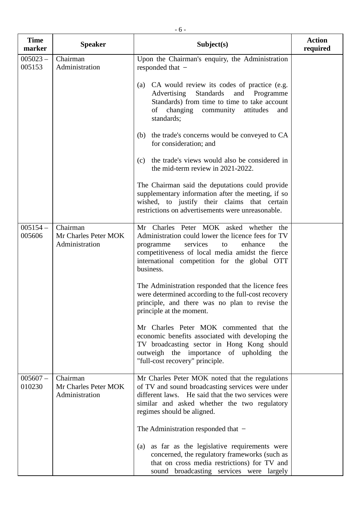| <b>Time</b><br>marker | <b>Speaker</b>                                     | Subject(s)                                                                                                                                                                                                                                                     | <b>Action</b><br>required |
|-----------------------|----------------------------------------------------|----------------------------------------------------------------------------------------------------------------------------------------------------------------------------------------------------------------------------------------------------------------|---------------------------|
| $005023 -$<br>005153  | Chairman<br>Administration                         | Upon the Chairman's enquiry, the Administration<br>responded that $-$                                                                                                                                                                                          |                           |
|                       |                                                    | (a) CA would review its codes of practice (e.g.<br>Advertising<br>Standards<br>and Programme<br>Standards) from time to time to take account<br>changing<br>community attitudes<br>of<br>and<br>standards;                                                     |                           |
|                       |                                                    | the trade's concerns would be conveyed to CA<br>(b)<br>for consideration; and                                                                                                                                                                                  |                           |
|                       |                                                    | the trade's views would also be considered in<br>(c)<br>the mid-term review in 2021-2022.                                                                                                                                                                      |                           |
|                       |                                                    | The Chairman said the deputations could provide<br>supplementary information after the meeting, if so<br>wished, to justify their claims that certain<br>restrictions on advertisements were unreasonable.                                                     |                           |
| $005154-$<br>005606   | Chairman<br>Mr Charles Peter MOK<br>Administration | Mr Charles Peter MOK asked whether the<br>Administration could lower the licence fees for TV<br>services<br>programme<br>enhance<br>the<br>to<br>competitiveness of local media amidst the fierce<br>international competition for the global OTT<br>business. |                           |
|                       |                                                    | The Administration responded that the licence fees<br>were determined according to the full-cost recovery<br>principle, and there was no plan to revise the<br>principle at the moment.                                                                        |                           |
|                       |                                                    | Mr Charles Peter MOK commented that the<br>economic benefits associated with developing the<br>TV broadcasting sector in Hong Kong should<br>outweigh the importance of upholding the<br>"full-cost recovery" principle.                                       |                           |
| $005607 -$<br>010230  | Chairman<br>Mr Charles Peter MOK<br>Administration | Mr Charles Peter MOK noted that the regulations<br>of TV and sound broadcasting services were under<br>different laws. He said that the two services were<br>similar and asked whether the two regulatory<br>regimes should be aligned.                        |                           |
|                       |                                                    | The Administration responded that $-$                                                                                                                                                                                                                          |                           |
|                       |                                                    | as far as the legislative requirements were<br>(a)<br>concerned, the regulatory frameworks (such as<br>that on cross media restrictions) for TV and<br>sound broadcasting services were largely                                                                |                           |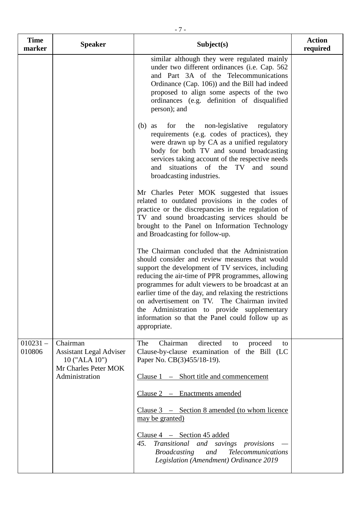| <b>Time</b><br>marker | <b>Speaker</b>                                                                      | Subject(s)                                                                                                                                                                                                                                                                                                                                                                                                                                                                                    | <b>Action</b><br>required |
|-----------------------|-------------------------------------------------------------------------------------|-----------------------------------------------------------------------------------------------------------------------------------------------------------------------------------------------------------------------------------------------------------------------------------------------------------------------------------------------------------------------------------------------------------------------------------------------------------------------------------------------|---------------------------|
|                       |                                                                                     | similar although they were regulated mainly<br>under two different ordinances (i.e. Cap. 562<br>and Part 3A of the Telecommunications<br>Ordinance (Cap. 106)) and the Bill had indeed<br>proposed to align some aspects of the two<br>ordinances (e.g. definition of disqualified<br>person); and                                                                                                                                                                                            |                           |
|                       |                                                                                     | the<br>non-legislative<br>(b)<br>for<br>regulatory<br>as<br>requirements (e.g. codes of practices), they<br>were drawn up by CA as a unified regulatory<br>body for both TV and sound broadcasting<br>services taking account of the respective needs<br>and situations of the TV and<br>sound<br>broadcasting industries.                                                                                                                                                                    |                           |
|                       |                                                                                     | Mr Charles Peter MOK suggested that issues<br>related to outdated provisions in the codes of<br>practice or the discrepancies in the regulation of<br>TV and sound broadcasting services should be<br>brought to the Panel on Information Technology<br>and Broadcasting for follow-up.                                                                                                                                                                                                       |                           |
|                       |                                                                                     | The Chairman concluded that the Administration<br>should consider and review measures that would<br>support the development of TV services, including<br>reducing the air-time of PPR programmes, allowing<br>programmes for adult viewers to be broadcast at an<br>earlier time of the day, and relaxing the restrictions<br>on advertisement on TV. The Chairman invited<br>the Administration to provide supplementary<br>information so that the Panel could follow up as<br>appropriate. |                           |
| $010231 -$<br>010806  | Chairman<br><b>Assistant Legal Adviser</b><br>10 ("ALA 10")<br>Mr Charles Peter MOK | directed<br>Chairman<br>The<br>to<br>proceed<br>to<br>Clause-by-clause examination of the Bill (LC<br>Paper No. CB(3)455/18-19).                                                                                                                                                                                                                                                                                                                                                              |                           |
|                       | Administration                                                                      | Clause 1 – Short title and commencement                                                                                                                                                                                                                                                                                                                                                                                                                                                       |                           |
|                       |                                                                                     | Clause 2 - Enactments amended<br>Clause $3 -$ Section 8 amended (to whom licence<br>may be granted)                                                                                                                                                                                                                                                                                                                                                                                           |                           |
|                       |                                                                                     | Clause $4 - \text{Section } 45$ added<br>Transitional and savings provisions<br>45.<br><b>Telecommunications</b><br><b>Broadcasting</b><br>and<br>Legislation (Amendment) Ordinance 2019                                                                                                                                                                                                                                                                                                      |                           |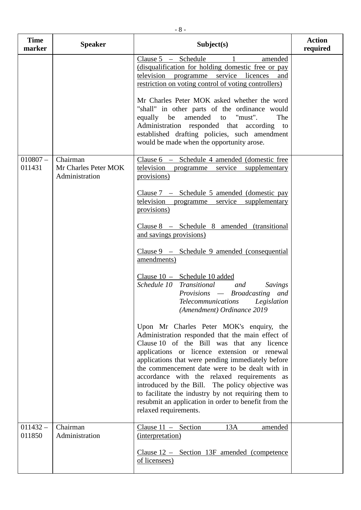| <b>Time</b><br>marker | <b>Speaker</b>                                     | Subject(s)                                                                                                                                                                                                                                                                                                                                                                                                                                                                                                                                   | <b>Action</b><br>required |
|-----------------------|----------------------------------------------------|----------------------------------------------------------------------------------------------------------------------------------------------------------------------------------------------------------------------------------------------------------------------------------------------------------------------------------------------------------------------------------------------------------------------------------------------------------------------------------------------------------------------------------------------|---------------------------|
|                       |                                                    | Clause $5 -$ Schedule<br>amended<br>(disqualification for holding domestic free or pay<br>television programme service licences<br>and<br>restriction on voting control of voting controllers)                                                                                                                                                                                                                                                                                                                                               |                           |
|                       |                                                    | Mr Charles Peter MOK asked whether the word<br>"shall" in other parts of the ordinance would<br>equally be amended to "must".<br>The<br>Administration responded that according to<br>established drafting policies, such amendment<br>would be made when the opportunity arose.                                                                                                                                                                                                                                                             |                           |
| $010807 -$<br>011431  | Chairman<br>Mr Charles Peter MOK<br>Administration | Clause 6 - Schedule 4 amended (domestic free<br>television programme service supplementary<br>provisions)                                                                                                                                                                                                                                                                                                                                                                                                                                    |                           |
|                       |                                                    | Clause $7 -$ Schedule 5 amended (domestic pay<br>television programme<br>service supplementary<br>provisions)                                                                                                                                                                                                                                                                                                                                                                                                                                |                           |
|                       |                                                    | Clause 8 - Schedule 8 amended (transitional<br>and savings provisions)                                                                                                                                                                                                                                                                                                                                                                                                                                                                       |                           |
|                       |                                                    | $Clause 9 - Schedule 9 amended (consequential)$<br>amendments)                                                                                                                                                                                                                                                                                                                                                                                                                                                                               |                           |
|                       |                                                    | Clause 10 - Schedule 10 added<br>Schedule 10 Transitional and<br>Savings<br>Provisions — Broadcasting and<br><b>Telecommunications</b><br>Legislation<br>(Amendment) Ordinance 2019                                                                                                                                                                                                                                                                                                                                                          |                           |
|                       |                                                    | Upon Mr Charles Peter MOK's enquiry, the<br>Administration responded that the main effect of<br>Clause 10 of the Bill was that any licence<br>applications or licence extension or renewal<br>applications that were pending immediately before<br>the commencement date were to be dealt with in<br>accordance with the relaxed requirements as<br>introduced by the Bill. The policy objective was<br>to facilitate the industry by not requiring them to<br>resubmit an application in order to benefit from the<br>relaxed requirements. |                           |
| $011432 -$<br>011850  | Chairman<br>Administration                         | Clause $11 -$ Section<br>13A<br>amended<br>(interpretation)<br>Clause 12 – Section 13F amended (competence)<br>of licensees)                                                                                                                                                                                                                                                                                                                                                                                                                 |                           |